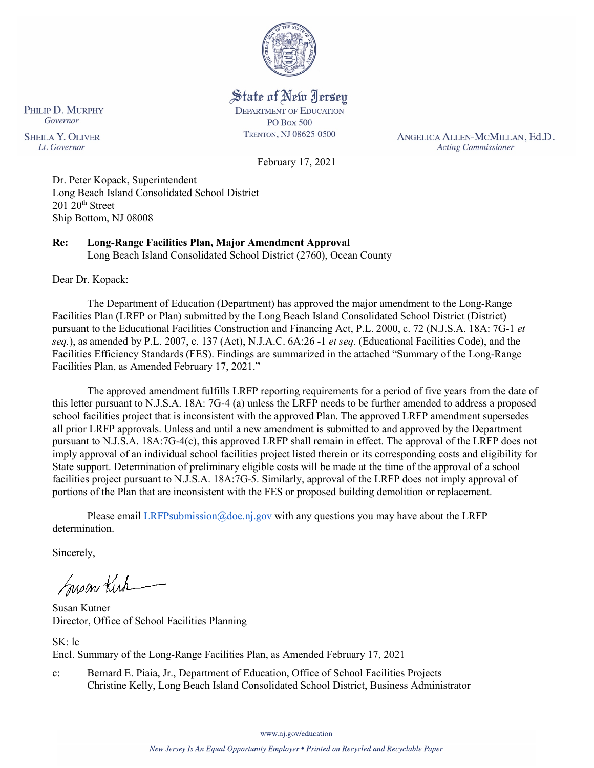

State of New Jersey **DEPARTMENT OF EDUCATION** 

**PO Box 500** TRENTON, NJ 08625-0500

ANGELICA ALLEN-MCMILLAN, Ed.D. **Acting Commissioner** 

February 17, 2021

Dr. Peter Kopack, Superintendent Long Beach Island Consolidated School District  $201 20$ <sup>th</sup> Street Ship Bottom, NJ 08008

**Re: Long-Range Facilities Plan, Major Amendment Approval**  Long Beach Island Consolidated School District (2760), Ocean County

Dear Dr. Kopack:

PHILIP D. MURPHY Governor

**SHEILA Y. OLIVER** 

Lt. Governor

The Department of Education (Department) has approved the major amendment to the Long-Range Facilities Plan (LRFP or Plan) submitted by the Long Beach Island Consolidated School District (District) pursuant to the Educational Facilities Construction and Financing Act, P.L. 2000, c. 72 (N.J.S.A. 18A: 7G-1 *et seq.*), as amended by P.L. 2007, c. 137 (Act), N.J.A.C. 6A:26 -1 *et seq.* (Educational Facilities Code), and the Facilities Efficiency Standards (FES). Findings are summarized in the attached "Summary of the Long-Range Facilities Plan, as Amended February 17, 2021."

The approved amendment fulfills LRFP reporting requirements for a period of five years from the date of this letter pursuant to N.J.S.A. 18A: 7G-4 (a) unless the LRFP needs to be further amended to address a proposed school facilities project that is inconsistent with the approved Plan. The approved LRFP amendment supersedes all prior LRFP approvals. Unless and until a new amendment is submitted to and approved by the Department pursuant to N.J.S.A. 18A:7G-4(c), this approved LRFP shall remain in effect. The approval of the LRFP does not imply approval of an individual school facilities project listed therein or its corresponding costs and eligibility for State support. Determination of preliminary eligible costs will be made at the time of the approval of a school facilities project pursuant to N.J.S.A. 18A:7G-5. Similarly, approval of the LRFP does not imply approval of portions of the Plan that are inconsistent with the FES or proposed building demolition or replacement.

Please email [LRFPsubmission@doe.nj.gov](mailto:LRFPsubmission@doe.nj.gov) with any questions you may have about the LRFP determination.

Sincerely,

Susan Kich

Susan Kutner Director, Office of School Facilities Planning

SK: lc Encl. Summary of the Long-Range Facilities Plan, as Amended February 17, 2021

c: Bernard E. Piaia, Jr., Department of Education, Office of School Facilities Projects Christine Kelly, Long Beach Island Consolidated School District, Business Administrator

www.nj.gov/education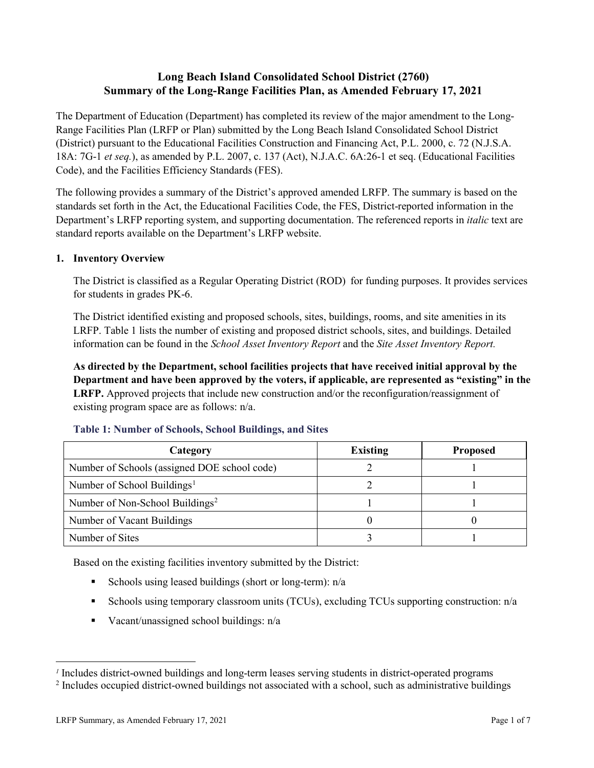# **Long Beach Island Consolidated School District (2760) Summary of the Long-Range Facilities Plan, as Amended February 17, 2021**

The Department of Education (Department) has completed its review of the major amendment to the Long-Range Facilities Plan (LRFP or Plan) submitted by the Long Beach Island Consolidated School District (District) pursuant to the Educational Facilities Construction and Financing Act, P.L. 2000, c. 72 (N.J.S.A. 18A: 7G-1 *et seq.*), as amended by P.L. 2007, c. 137 (Act), N.J.A.C. 6A:26-1 et seq. (Educational Facilities Code), and the Facilities Efficiency Standards (FES).

The following provides a summary of the District's approved amended LRFP. The summary is based on the standards set forth in the Act, the Educational Facilities Code, the FES, District-reported information in the Department's LRFP reporting system, and supporting documentation. The referenced reports in *italic* text are standard reports available on the Department's LRFP website.

### **1. Inventory Overview**

The District is classified as a Regular Operating District (ROD) for funding purposes. It provides services for students in grades PK-6.

The District identified existing and proposed schools, sites, buildings, rooms, and site amenities in its LRFP. Table 1 lists the number of existing and proposed district schools, sites, and buildings. Detailed information can be found in the *School Asset Inventory Report* and the *Site Asset Inventory Report.*

**As directed by the Department, school facilities projects that have received initial approval by the Department and have been approved by the voters, if applicable, are represented as "existing" in the LRFP.** Approved projects that include new construction and/or the reconfiguration/reassignment of existing program space are as follows: n/a.

| Category                                     | <b>Existing</b> | <b>Proposed</b> |  |
|----------------------------------------------|-----------------|-----------------|--|
| Number of Schools (assigned DOE school code) |                 |                 |  |
| Number of School Buildings <sup>1</sup>      |                 |                 |  |
| Number of Non-School Buildings <sup>2</sup>  |                 |                 |  |
| Number of Vacant Buildings                   |                 |                 |  |
| Number of Sites                              |                 |                 |  |

#### **Table 1: Number of Schools, School Buildings, and Sites**

Based on the existing facilities inventory submitted by the District:

- Schools using leased buildings (short or long-term):  $n/a$
- Schools using temporary classroom units (TCUs), excluding TCUs supporting construction: n/a
- Vacant/unassigned school buildings:  $n/a$

 $\overline{a}$ 

<span id="page-1-1"></span><span id="page-1-0"></span>*<sup>1</sup>* Includes district-owned buildings and long-term leases serving students in district-operated programs

<sup>&</sup>lt;sup>2</sup> Includes occupied district-owned buildings not associated with a school, such as administrative buildings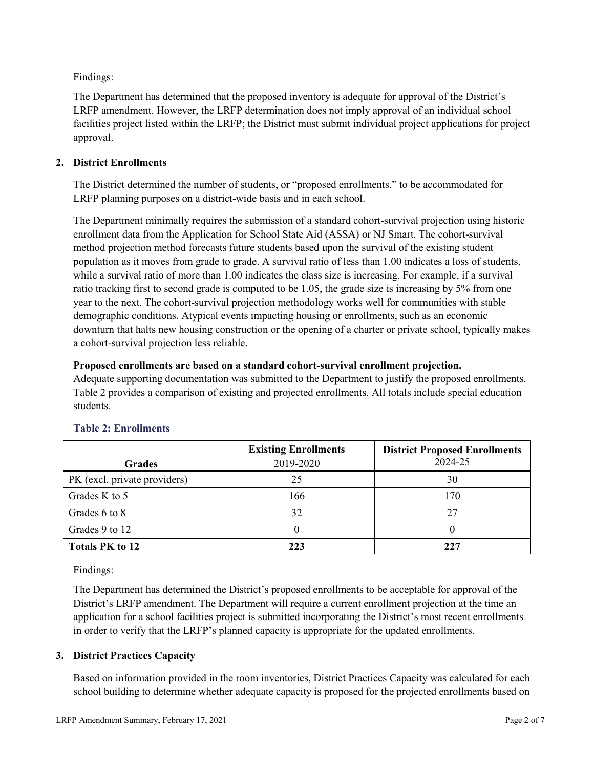Findings:

The Department has determined that the proposed inventory is adequate for approval of the District's LRFP amendment. However, the LRFP determination does not imply approval of an individual school facilities project listed within the LRFP; the District must submit individual project applications for project approval.

## **2. District Enrollments**

The District determined the number of students, or "proposed enrollments," to be accommodated for LRFP planning purposes on a district-wide basis and in each school.

The Department minimally requires the submission of a standard cohort-survival projection using historic enrollment data from the Application for School State Aid (ASSA) or NJ Smart. The cohort-survival method projection method forecasts future students based upon the survival of the existing student population as it moves from grade to grade. A survival ratio of less than 1.00 indicates a loss of students, while a survival ratio of more than 1.00 indicates the class size is increasing. For example, if a survival ratio tracking first to second grade is computed to be 1.05, the grade size is increasing by 5% from one year to the next. The cohort-survival projection methodology works well for communities with stable demographic conditions. Atypical events impacting housing or enrollments, such as an economic downturn that halts new housing construction or the opening of a charter or private school, typically makes a cohort-survival projection less reliable.

### **Proposed enrollments are based on a standard cohort-survival enrollment projection.**

Adequate supporting documentation was submitted to the Department to justify the proposed enrollments. Table 2 provides a comparison of existing and projected enrollments. All totals include special education students.

| <b>Grades</b>                | <b>Existing Enrollments</b><br>2019-2020 | <b>District Proposed Enrollments</b><br>2024-25 |
|------------------------------|------------------------------------------|-------------------------------------------------|
| PK (excl. private providers) | 25                                       | 30                                              |
| Grades K to 5                | 166                                      | 170                                             |
| Grades 6 to 8                | 32                                       | 27                                              |
| Grades 9 to 12               |                                          |                                                 |
| <b>Totals PK to 12</b>       | 223                                      | 227                                             |

# **Table 2: Enrollments**

Findings:

The Department has determined the District's proposed enrollments to be acceptable for approval of the District's LRFP amendment. The Department will require a current enrollment projection at the time an application for a school facilities project is submitted incorporating the District's most recent enrollments in order to verify that the LRFP's planned capacity is appropriate for the updated enrollments.

# **3. District Practices Capacity**

Based on information provided in the room inventories, District Practices Capacity was calculated for each school building to determine whether adequate capacity is proposed for the projected enrollments based on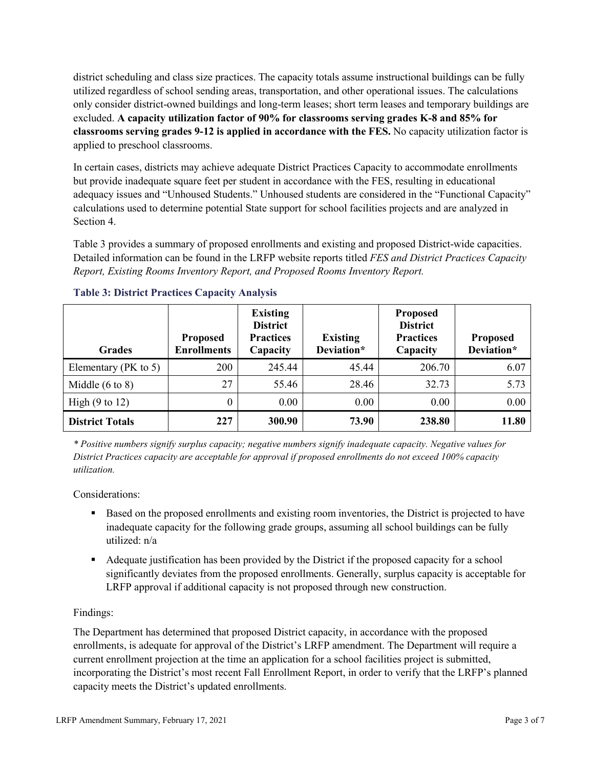district scheduling and class size practices. The capacity totals assume instructional buildings can be fully utilized regardless of school sending areas, transportation, and other operational issues. The calculations only consider district-owned buildings and long-term leases; short term leases and temporary buildings are excluded. **A capacity utilization factor of 90% for classrooms serving grades K-8 and 85% for classrooms serving grades 9-12 is applied in accordance with the FES.** No capacity utilization factor is applied to preschool classrooms.

In certain cases, districts may achieve adequate District Practices Capacity to accommodate enrollments but provide inadequate square feet per student in accordance with the FES, resulting in educational adequacy issues and "Unhoused Students." Unhoused students are considered in the "Functional Capacity" calculations used to determine potential State support for school facilities projects and are analyzed in Section 4.

Table 3 provides a summary of proposed enrollments and existing and proposed District-wide capacities. Detailed information can be found in the LRFP website reports titled *FES and District Practices Capacity Report, Existing Rooms Inventory Report, and Proposed Rooms Inventory Report.*

| <b>Grades</b>              | <b>Proposed</b><br><b>Enrollments</b> | <b>Existing</b><br><b>District</b><br><b>Practices</b><br>Capacity | <b>Existing</b><br>Deviation* | <b>Proposed</b><br><b>District</b><br><b>Practices</b><br>Capacity | <b>Proposed</b><br>Deviation* |
|----------------------------|---------------------------------------|--------------------------------------------------------------------|-------------------------------|--------------------------------------------------------------------|-------------------------------|
| Elementary ( $PK$ to 5)    | 200                                   | 245.44                                                             | 45.44                         | 206.70                                                             | 6.07                          |
| Middle $(6 \text{ to } 8)$ | 27                                    | 55.46                                                              | 28.46                         | 32.73                                                              | 5.73                          |
| High $(9 \text{ to } 12)$  | $\theta$                              | 0.00                                                               | 0.00                          | 0.00                                                               | 0.00                          |
| <b>District Totals</b>     | 227                                   | 300.90                                                             | 73.90                         | 238.80                                                             | 11.80                         |

|  |  | <b>Table 3: District Practices Capacity Analysis</b> |  |  |
|--|--|------------------------------------------------------|--|--|
|--|--|------------------------------------------------------|--|--|

*\* Positive numbers signify surplus capacity; negative numbers signify inadequate capacity. Negative values for District Practices capacity are acceptable for approval if proposed enrollments do not exceed 100% capacity utilization.*

Considerations:

- Based on the proposed enrollments and existing room inventories, the District is projected to have inadequate capacity for the following grade groups, assuming all school buildings can be fully utilized: n/a
- Adequate justification has been provided by the District if the proposed capacity for a school significantly deviates from the proposed enrollments. Generally, surplus capacity is acceptable for LRFP approval if additional capacity is not proposed through new construction.

# Findings:

The Department has determined that proposed District capacity, in accordance with the proposed enrollments, is adequate for approval of the District's LRFP amendment. The Department will require a current enrollment projection at the time an application for a school facilities project is submitted, incorporating the District's most recent Fall Enrollment Report, in order to verify that the LRFP's planned capacity meets the District's updated enrollments.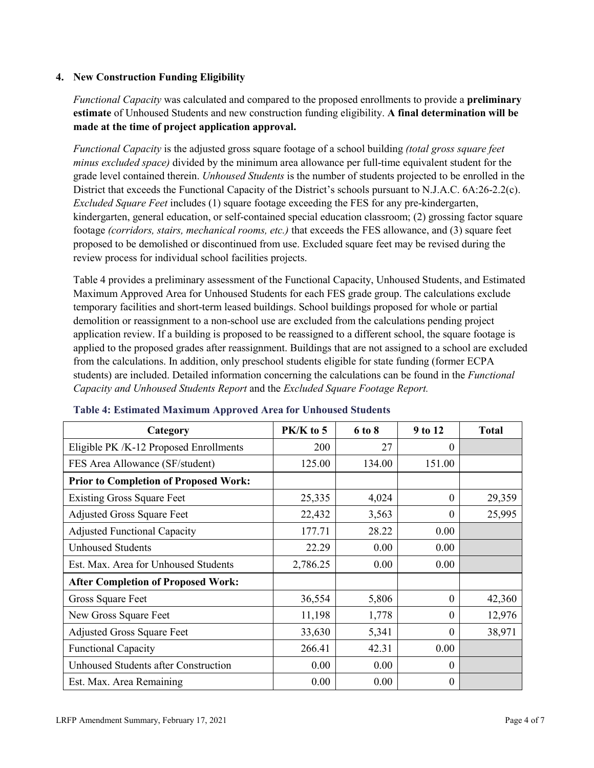### **4. New Construction Funding Eligibility**

*Functional Capacity* was calculated and compared to the proposed enrollments to provide a **preliminary estimate** of Unhoused Students and new construction funding eligibility. **A final determination will be made at the time of project application approval.**

*Functional Capacity* is the adjusted gross square footage of a school building *(total gross square feet minus excluded space)* divided by the minimum area allowance per full-time equivalent student for the grade level contained therein. *Unhoused Students* is the number of students projected to be enrolled in the District that exceeds the Functional Capacity of the District's schools pursuant to N.J.A.C. 6A:26-2.2(c). *Excluded Square Feet* includes (1) square footage exceeding the FES for any pre-kindergarten, kindergarten, general education, or self-contained special education classroom; (2) grossing factor square footage *(corridors, stairs, mechanical rooms, etc.)* that exceeds the FES allowance, and (3) square feet proposed to be demolished or discontinued from use. Excluded square feet may be revised during the review process for individual school facilities projects.

Table 4 provides a preliminary assessment of the Functional Capacity, Unhoused Students, and Estimated Maximum Approved Area for Unhoused Students for each FES grade group. The calculations exclude temporary facilities and short-term leased buildings. School buildings proposed for whole or partial demolition or reassignment to a non-school use are excluded from the calculations pending project application review. If a building is proposed to be reassigned to a different school, the square footage is applied to the proposed grades after reassignment. Buildings that are not assigned to a school are excluded from the calculations. In addition, only preschool students eligible for state funding (former ECPA students) are included. Detailed information concerning the calculations can be found in the *Functional Capacity and Unhoused Students Report* and the *Excluded Square Footage Report.*

| Category                                     | $PK/K$ to 5 | 6 to 8 | 9 to 12  | <b>Total</b> |
|----------------------------------------------|-------------|--------|----------|--------------|
| Eligible PK /K-12 Proposed Enrollments       | 200         | 27     | 0        |              |
| FES Area Allowance (SF/student)              | 125.00      | 134.00 | 151.00   |              |
| <b>Prior to Completion of Proposed Work:</b> |             |        |          |              |
| <b>Existing Gross Square Feet</b>            | 25,335      | 4,024  | $\Omega$ | 29,359       |
| <b>Adjusted Gross Square Feet</b>            | 22,432      | 3,563  | $\Omega$ | 25,995       |
| <b>Adjusted Functional Capacity</b>          | 177.71      | 28.22  | 0.00     |              |
| <b>Unhoused Students</b>                     | 22.29       | 0.00   | 0.00     |              |
| Est. Max. Area for Unhoused Students         | 2,786.25    | 0.00   | 0.00     |              |
| <b>After Completion of Proposed Work:</b>    |             |        |          |              |
| Gross Square Feet                            | 36,554      | 5,806  | $\Omega$ | 42,360       |
| New Gross Square Feet                        | 11,198      | 1,778  | $\theta$ | 12,976       |
| <b>Adjusted Gross Square Feet</b>            | 33,630      | 5,341  | $\Omega$ | 38,971       |
| <b>Functional Capacity</b>                   | 266.41      | 42.31  | 0.00     |              |
| <b>Unhoused Students after Construction</b>  | 0.00        | 0.00   | $\theta$ |              |
| Est. Max. Area Remaining                     | 0.00        | 0.00   | $\Omega$ |              |

#### **Table 4: Estimated Maximum Approved Area for Unhoused Students**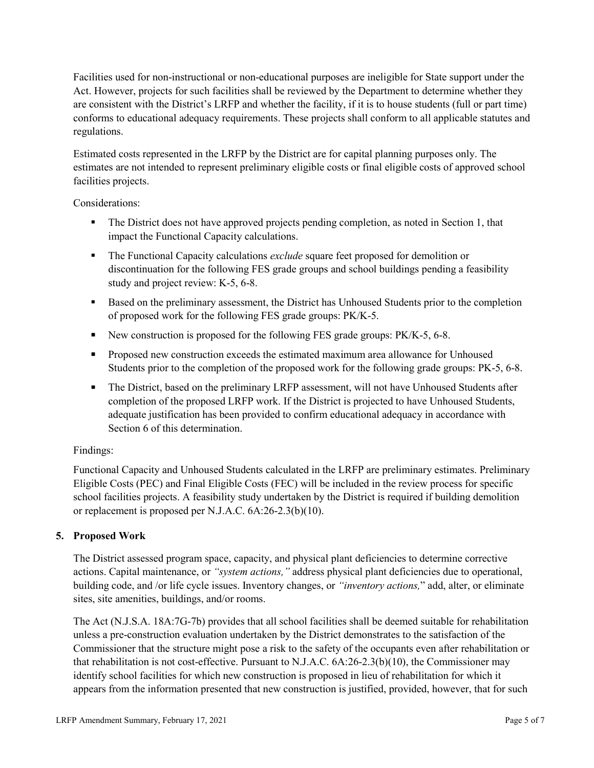Facilities used for non-instructional or non-educational purposes are ineligible for State support under the Act. However, projects for such facilities shall be reviewed by the Department to determine whether they are consistent with the District's LRFP and whether the facility, if it is to house students (full or part time) conforms to educational adequacy requirements. These projects shall conform to all applicable statutes and regulations.

Estimated costs represented in the LRFP by the District are for capital planning purposes only. The estimates are not intended to represent preliminary eligible costs or final eligible costs of approved school facilities projects.

Considerations:

- The District does not have approved projects pending completion, as noted in Section 1, that impact the Functional Capacity calculations.
- **The Functional Capacity calculations** *exclude* square feet proposed for demolition or discontinuation for the following FES grade groups and school buildings pending a feasibility study and project review: K-5, 6-8.
- Based on the preliminary assessment, the District has Unhoused Students prior to the completion of proposed work for the following FES grade groups: PK/K-5.
- New construction is proposed for the following FES grade groups: PK/K-5, 6-8.
- Proposed new construction exceeds the estimated maximum area allowance for Unhoused Students prior to the completion of the proposed work for the following grade groups: PK-5, 6-8.
- The District, based on the preliminary LRFP assessment, will not have Unhoused Students after completion of the proposed LRFP work. If the District is projected to have Unhoused Students, adequate justification has been provided to confirm educational adequacy in accordance with Section 6 of this determination.

### Findings:

Functional Capacity and Unhoused Students calculated in the LRFP are preliminary estimates. Preliminary Eligible Costs (PEC) and Final Eligible Costs (FEC) will be included in the review process for specific school facilities projects. A feasibility study undertaken by the District is required if building demolition or replacement is proposed per N.J.A.C. 6A:26-2.3(b)(10).

### **5. Proposed Work**

The District assessed program space, capacity, and physical plant deficiencies to determine corrective actions. Capital maintenance, or *"system actions,"* address physical plant deficiencies due to operational, building code, and /or life cycle issues. Inventory changes, or *"inventory actions,*" add, alter, or eliminate sites, site amenities, buildings, and/or rooms.

The Act (N.J.S.A. 18A:7G-7b) provides that all school facilities shall be deemed suitable for rehabilitation unless a pre-construction evaluation undertaken by the District demonstrates to the satisfaction of the Commissioner that the structure might pose a risk to the safety of the occupants even after rehabilitation or that rehabilitation is not cost-effective. Pursuant to N.J.A.C. 6A:26-2.3(b)(10), the Commissioner may identify school facilities for which new construction is proposed in lieu of rehabilitation for which it appears from the information presented that new construction is justified, provided, however, that for such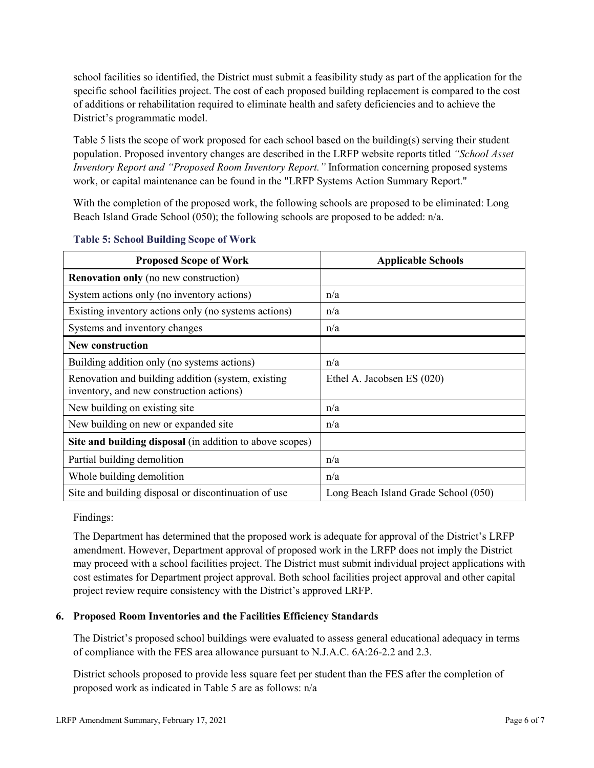school facilities so identified, the District must submit a feasibility study as part of the application for the specific school facilities project. The cost of each proposed building replacement is compared to the cost of additions or rehabilitation required to eliminate health and safety deficiencies and to achieve the District's programmatic model.

Table 5 lists the scope of work proposed for each school based on the building(s) serving their student population. Proposed inventory changes are described in the LRFP website reports titled *"School Asset Inventory Report and "Proposed Room Inventory Report."* Information concerning proposed systems work, or capital maintenance can be found in the "LRFP Systems Action Summary Report."

With the completion of the proposed work, the following schools are proposed to be eliminated: Long Beach Island Grade School (050); the following schools are proposed to be added: n/a.

| <b>Proposed Scope of Work</b>                                                                  | <b>Applicable Schools</b>            |
|------------------------------------------------------------------------------------------------|--------------------------------------|
| <b>Renovation only</b> (no new construction)                                                   |                                      |
| System actions only (no inventory actions)                                                     | n/a                                  |
| Existing inventory actions only (no systems actions)                                           | n/a                                  |
| Systems and inventory changes                                                                  | n/a                                  |
| <b>New construction</b>                                                                        |                                      |
| Building addition only (no systems actions)                                                    | n/a                                  |
| Renovation and building addition (system, existing<br>inventory, and new construction actions) | Ethel A. Jacobsen ES (020)           |
| New building on existing site                                                                  | n/a                                  |
| New building on new or expanded site                                                           | n/a                                  |
| Site and building disposal (in addition to above scopes)                                       |                                      |
| Partial building demolition                                                                    | n/a                                  |
| Whole building demolition                                                                      | n/a                                  |
| Site and building disposal or discontinuation of use                                           | Long Beach Island Grade School (050) |

#### **Table 5: School Building Scope of Work**

Findings:

The Department has determined that the proposed work is adequate for approval of the District's LRFP amendment. However, Department approval of proposed work in the LRFP does not imply the District may proceed with a school facilities project. The District must submit individual project applications with cost estimates for Department project approval. Both school facilities project approval and other capital project review require consistency with the District's approved LRFP.

### **6. Proposed Room Inventories and the Facilities Efficiency Standards**

The District's proposed school buildings were evaluated to assess general educational adequacy in terms of compliance with the FES area allowance pursuant to N.J.A.C. 6A:26-2.2 and 2.3.

District schools proposed to provide less square feet per student than the FES after the completion of proposed work as indicated in Table 5 are as follows: n/a